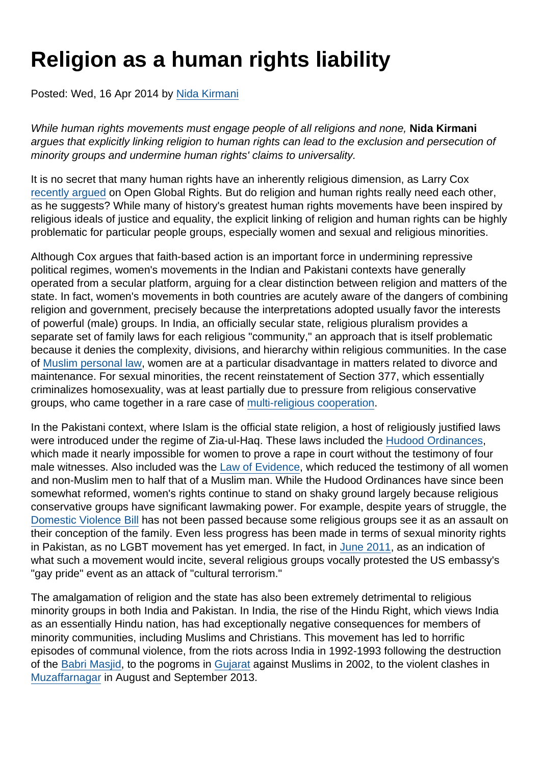## Religion as a human rights liability

Posted: Wed, 16 Apr 2014 by [Nida Kirmani](https://www.secularism.org.uk/opinion/authors/943)

While human rights movements must engage people of all religions and none, Nida Kirmani argues that explicitly linking religion to human rights can lead to the exclusion and persecution of minority groups and undermine human rights' claims to universality.

It is no secret that many human rights have an inherently religious dimension, as Larry Cox [recently argued](http://www.opendemocracy.net/openglobalrights/larry-cox/human-rights-must-get-religion) on Open Global Rights. But do religion and human rights really need each other, as he suggests? While many of history's greatest human rights movements have been inspired by religious ideals of justice and equality, the explicit linking of religion and human rights can be highly problematic for particular people groups, especially women and sexual and religious minorities.

Although Cox argues that faith-based action is an important force in undermining repressive political regimes, women's movements in the Indian and Pakistani contexts have generally operated from a secular platform, arguing for a clear distinction between religion and matters of the state. In fact, women's movements in both countries are acutely aware of the dangers of combining religion and government, precisely because the interpretations adopted usually favor the interests of powerful (male) groups. In India, an officially secular state, religious pluralism provides a separate set of family laws for each religious "community," an approach that is itself problematic because it denies the complexity, divisions, and hierarchy within religious communities. In the case of [Muslim personal law](http://archive.indianexpress.com/news/proposed-changes-in-muslim-personal-law/916698/).   (http://archive.indianexpress.com/news/proposed-changes-in-muslim-personal-law/916698/), women are at a particular disadvantage in matters related to divorce and maintenance. For sexual minorities, the recent reinstatement of Section 377, which essentially criminalizes homosexuality, was at least partially due to pressure from religious conservative groups, who came together in a rare case of [multi-religious cooperation](http://www.dnaindia.com/india/report-rare-unity-religious-leaders-come-out-in-support-of-section-377-1933612).

In the Pakistani context, where Islam is the official state religion, a host of religiously justified laws were introduced under the regime of Zia-ul-Haq. These laws included the [Hudood Ordinances,](http://www.dawn.com/news/626858/the-hudood-ordinances) which made it nearly impossible for women to prove a rape in court without the testimony of four male witnesses. Also included was the [Law of Evidence](http://tribune.com.pk/story/471197/to-be-a-woman-in-pakistan/), which reduced the testimony of all women and non-Muslim men to half that of a Muslim man. While the Hudood Ordinances have since been somewhat reformed, women's rights continue to stand on shaky ground largely because religious conservative groups have significant lawmaking power. For example, despite years of struggle, the [Domestic Violence Bill](http://tribune.com.pk/story/362315/joint-session-no-breakthrough-on-domestic-violence-bill/) has not been passed because some religious groups see it as an assault on their conception of the family. Even less progress has been made in terms of sexual minority rights in Pakistan, as no LGBT movement has yet emerged. In fact, in [June 2011](http://tribune.com.pk/story/202301/protests-in-pakistan-over-us-gay-rights-event/), as an indication of what such a movement would incite, several religious groups vocally protested the US embassy's "gay pride" event as an attack of "cultural terrorism."

The amalgamation of religion and the state has also been extremely detrimental to religious minority groups in both India and Pakistan. In India, the rise of the Hindu Right, which views India as an essentially Hindu nation, has had exceptionally negative consequences for members of minority communities, including Muslims and Christians. This movement has led to horrific episodes of communal violence, from the riots across India in 1992-1993 following the destruction of the [Babri Masjid](http://en.wikipedia.org/wiki/Bombay_Riots), to the pogroms in [Gujarat](http://en.wikipedia.org/wiki/2002_Gujarat_violence) against Muslims in 2002, to the violent clashes in [Muzaffarnagar](http://www.bbc.com/news/world-asia-india-24172537) in August and September 2013.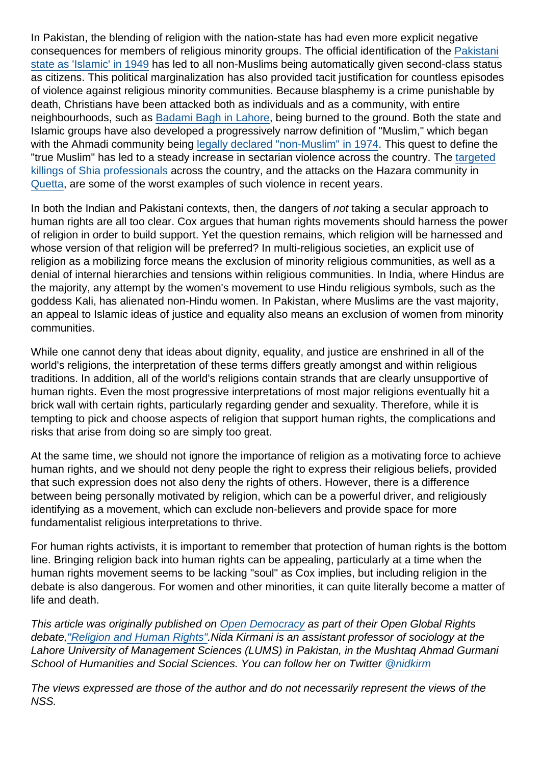In Pakistan, the blending of religion with the nation-state has had even more explicit negative consequences for members of religious minority groups. The official identification of the [Pakistani](http://en.wikipedia.org/wiki/Objectives_Resolution) [state as 'Islamic' in 1949](http://en.wikipedia.org/wiki/Objectives_Resolution) has led to all non-Muslims being automatically given second-class status as citizens. This political marginalization has also provided tacit justification for countless episodes of violence against religious minority communities. Because blasphemy is a crime punishable by death, Christians have been attacked both as individuals and as a community, with entire neighbourhoods, such as [Badami Bagh in Lahore,](http://tribune.com.pk/story/518244/alleged-blasphemy-mob-burns-100-christian-homes-in-lahore/) being burned to the ground. Both the state and Islamic groups have also developed a progressively narrow definition of "Muslim," which began with the Ahmadi community being [legally declared "non-Muslim" in 1974.](http://en.wikipedia.org/wiki/Ahmadiyya) This quest to define the "true Muslim" has led to a steady increase in sectarian violence across the country. The [targeted](http://www.huffingtonpost.com/mina-sohail/pakistans-religious-minorities-under-attack_b_4692693.html) [killings of Shia professionals](http://www.huffingtonpost.com/mina-sohail/pakistans-religious-minorities-under-attack_b_4692693.html) across the country, and the attacks on the Hazara community in [Quetta](http://en.wikipedia.org/wiki/Persecution_of_Hazara_people_in_Quetta), are some of the worst examples of such violence in recent years.

In both the Indian and Pakistani contexts, then, the dangers of not taking a secular approach to human rights are all too clear. Cox argues that human rights movements should harness the power of religion in order to build support. Yet the question remains, which religion will be harnessed and whose version of that religion will be preferred? In multi-religious societies, an explicit use of religion as a mobilizing force means the exclusion of minority religious communities, as well as a denial of internal hierarchies and tensions within religious communities. In India, where Hindus are the majority, any attempt by the women's movement to use Hindu religious symbols, such as the goddess Kali, has alienated non-Hindu women. In Pakistan, where Muslims are the vast majority, an appeal to Islamic ideas of justice and equality also means an exclusion of women from minority communities.

While one cannot deny that ideas about dignity, equality, and justice are enshrined in all of the world's religions, the interpretation of these terms differs greatly amongst and within religious traditions. In addition, all of the world's religions contain strands that are clearly unsupportive of human rights. Even the most progressive interpretations of most major religions eventually hit a brick wall with certain rights, particularly regarding gender and sexuality. Therefore, while it is tempting to pick and choose aspects of religion that support human rights, the complications and risks that arise from doing so are simply too great.

At the same time, we should not ignore the importance of religion as a motivating force to achieve human rights, and we should not deny people the right to express their religious beliefs, provided that such expression does not also deny the rights of others. However, there is a difference between being personally motivated by religion, which can be a powerful driver, and religiously identifying as a movement, which can exclude non-believers and provide space for more fundamentalist religious interpretations to thrive.

For human rights activists, it is important to remember that protection of human rights is the bottom line. Bringing religion back into human rights can be appealing, particularly at a time when the human rights movement seems to be lacking "soul" as Cox implies, but including religion in the debate is also dangerous. For women and other minorities, it can quite literally become a matter of life and death.

This article was originally published on [Open Democracy](http://www.opendemocracy.net/openglobalrights/nida-kirmani/religion-as-human-rights-liability) as part of their Open Global Rights debate[,"Religion and Human Rights".](http://www.opendemocracy.net/openglobalrights/religion-and-human-rights)Nida Kirmani is an assistant professor of sociology at the Lahore University of Management Sciences (LUMS) in Pakistan, in the Mushtaq Ahmad Gurmani School of Humanities and Social Sciences. You can follow her on Twitter [@nidkirm](https://twitter.com/nidkirm)

The views expressed are those of the author and do not necessarily represent the views of the NSS.